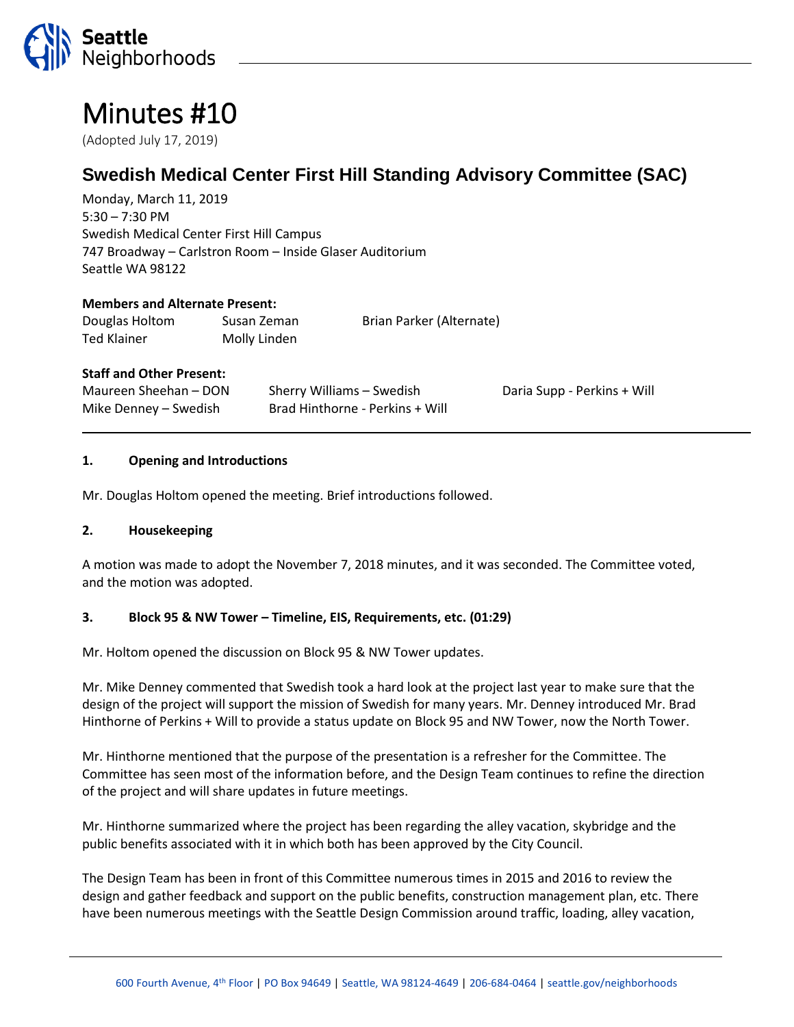

# Minutes #10

(Adopted July 17, 2019)

# **Swedish Medical Center First Hill Standing Advisory Committee (SAC)**

Monday, March 11, 2019 5:30 – 7:30 PM Swedish Medical Center First Hill Campus 747 Broadway – Carlstron Room – Inside Glaser Auditorium Seattle WA 98122

#### **Members and Alternate Present:**

| Douglas Holtom | Susan Zeman  | Brian Parker (Alternate) |
|----------------|--------------|--------------------------|
| Ted Klainer    | Molly Linden |                          |

#### **Staff and Other Present:**

| Maureen Sheehan – DON | Sherry Williams – Swedish       | Daria Supp - Perkins + Will |
|-----------------------|---------------------------------|-----------------------------|
| Mike Denney – Swedish | Brad Hinthorne - Perkins + Will |                             |

#### **1. Opening and Introductions**

Mr. Douglas Holtom opened the meeting. Brief introductions followed.

#### **2. Housekeeping**

A motion was made to adopt the November 7, 2018 minutes, and it was seconded. The Committee voted, and the motion was adopted.

#### **3. Block 95 & NW Tower – Timeline, EIS, Requirements, etc. (01:29)**

Mr. Holtom opened the discussion on Block 95 & NW Tower updates.

Mr. Mike Denney commented that Swedish took a hard look at the project last year to make sure that the design of the project will support the mission of Swedish for many years. Mr. Denney introduced Mr. Brad Hinthorne of Perkins + Will to provide a status update on Block 95 and NW Tower, now the North Tower.

Mr. Hinthorne mentioned that the purpose of the presentation is a refresher for the Committee. The Committee has seen most of the information before, and the Design Team continues to refine the direction of the project and will share updates in future meetings.

Mr. Hinthorne summarized where the project has been regarding the alley vacation, skybridge and the public benefits associated with it in which both has been approved by the City Council.

The Design Team has been in front of this Committee numerous times in 2015 and 2016 to review the design and gather feedback and support on the public benefits, construction management plan, etc. There have been numerous meetings with the Seattle Design Commission around traffic, loading, alley vacation,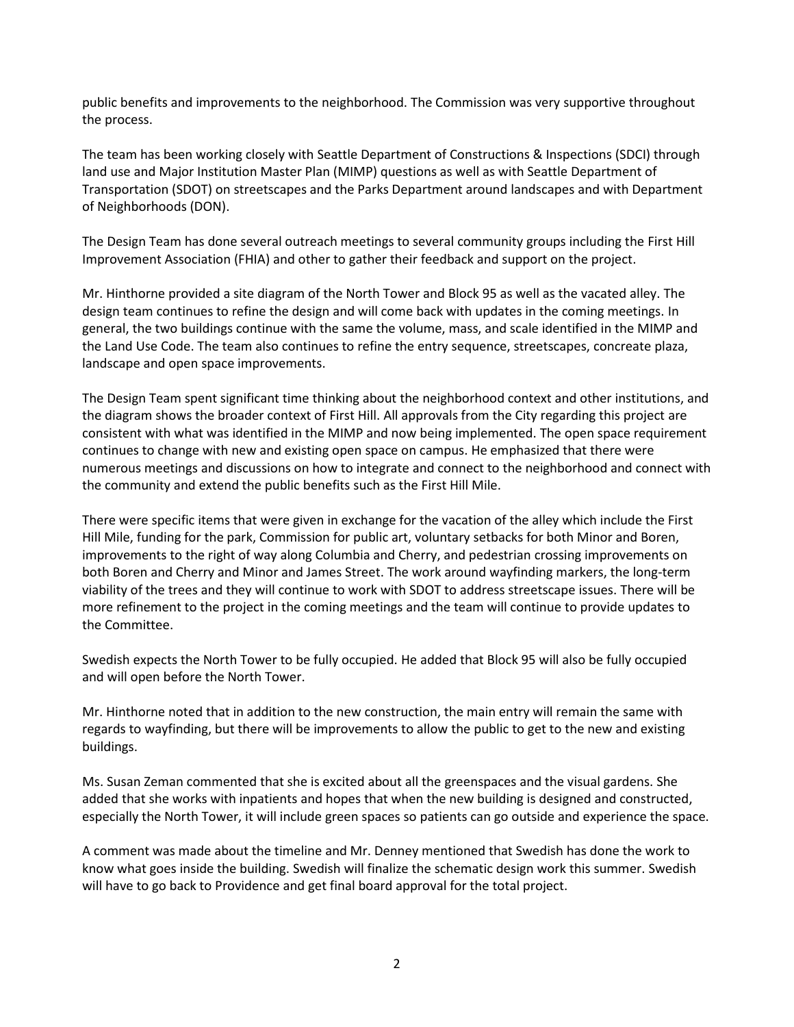public benefits and improvements to the neighborhood. The Commission was very supportive throughout the process.

The team has been working closely with Seattle Department of Constructions & Inspections (SDCI) through land use and Major Institution Master Plan (MIMP) questions as well as with Seattle Department of Transportation (SDOT) on streetscapes and the Parks Department around landscapes and with Department of Neighborhoods (DON).

The Design Team has done several outreach meetings to several community groups including the First Hill Improvement Association (FHIA) and other to gather their feedback and support on the project.

Mr. Hinthorne provided a site diagram of the North Tower and Block 95 as well as the vacated alley. The design team continues to refine the design and will come back with updates in the coming meetings. In general, the two buildings continue with the same the volume, mass, and scale identified in the MIMP and the Land Use Code. The team also continues to refine the entry sequence, streetscapes, concreate plaza, landscape and open space improvements.

The Design Team spent significant time thinking about the neighborhood context and other institutions, and the diagram shows the broader context of First Hill. All approvals from the City regarding this project are consistent with what was identified in the MIMP and now being implemented. The open space requirement continues to change with new and existing open space on campus. He emphasized that there were numerous meetings and discussions on how to integrate and connect to the neighborhood and connect with the community and extend the public benefits such as the First Hill Mile.

There were specific items that were given in exchange for the vacation of the alley which include the First Hill Mile, funding for the park, Commission for public art, voluntary setbacks for both Minor and Boren, improvements to the right of way along Columbia and Cherry, and pedestrian crossing improvements on both Boren and Cherry and Minor and James Street. The work around wayfinding markers, the long-term viability of the trees and they will continue to work with SDOT to address streetscape issues. There will be more refinement to the project in the coming meetings and the team will continue to provide updates to the Committee.

Swedish expects the North Tower to be fully occupied. He added that Block 95 will also be fully occupied and will open before the North Tower.

Mr. Hinthorne noted that in addition to the new construction, the main entry will remain the same with regards to wayfinding, but there will be improvements to allow the public to get to the new and existing buildings.

Ms. Susan Zeman commented that she is excited about all the greenspaces and the visual gardens. She added that she works with inpatients and hopes that when the new building is designed and constructed, especially the North Tower, it will include green spaces so patients can go outside and experience the space.

A comment was made about the timeline and Mr. Denney mentioned that Swedish has done the work to know what goes inside the building. Swedish will finalize the schematic design work this summer. Swedish will have to go back to Providence and get final board approval for the total project.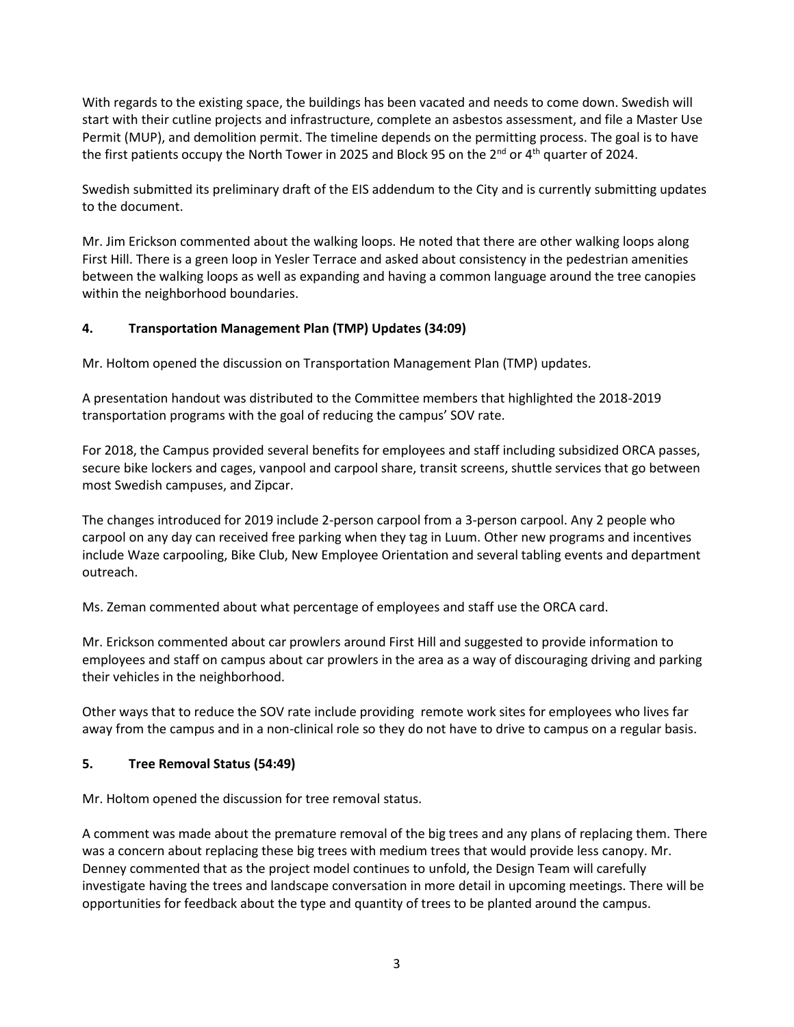With regards to the existing space, the buildings has been vacated and needs to come down. Swedish will start with their cutline projects and infrastructure, complete an asbestos assessment, and file a Master Use Permit (MUP), and demolition permit. The timeline depends on the permitting process. The goal is to have the first patients occupy the North Tower in 2025 and Block 95 on the 2<sup>nd</sup> or 4<sup>th</sup> quarter of 2024.

Swedish submitted its preliminary draft of the EIS addendum to the City and is currently submitting updates to the document.

Mr. Jim Erickson commented about the walking loops. He noted that there are other walking loops along First Hill. There is a green loop in Yesler Terrace and asked about consistency in the pedestrian amenities between the walking loops as well as expanding and having a common language around the tree canopies within the neighborhood boundaries.

# **4. Transportation Management Plan (TMP) Updates (34:09)**

Mr. Holtom opened the discussion on Transportation Management Plan (TMP) updates.

A presentation handout was distributed to the Committee members that highlighted the 2018-2019 transportation programs with the goal of reducing the campus' SOV rate.

For 2018, the Campus provided several benefits for employees and staff including subsidized ORCA passes, secure bike lockers and cages, vanpool and carpool share, transit screens, shuttle services that go between most Swedish campuses, and Zipcar.

The changes introduced for 2019 include 2-person carpool from a 3-person carpool. Any 2 people who carpool on any day can received free parking when they tag in Luum. Other new programs and incentives include Waze carpooling, Bike Club, New Employee Orientation and several tabling events and department outreach.

Ms. Zeman commented about what percentage of employees and staff use the ORCA card.

Mr. Erickson commented about car prowlers around First Hill and suggested to provide information to employees and staff on campus about car prowlers in the area as a way of discouraging driving and parking their vehicles in the neighborhood.

Other ways that to reduce the SOV rate include providing remote work sites for employees who lives far away from the campus and in a non-clinical role so they do not have to drive to campus on a regular basis.

### **5. Tree Removal Status (54:49)**

Mr. Holtom opened the discussion for tree removal status.

A comment was made about the premature removal of the big trees and any plans of replacing them. There was a concern about replacing these big trees with medium trees that would provide less canopy. Mr. Denney commented that as the project model continues to unfold, the Design Team will carefully investigate having the trees and landscape conversation in more detail in upcoming meetings. There will be opportunities for feedback about the type and quantity of trees to be planted around the campus.